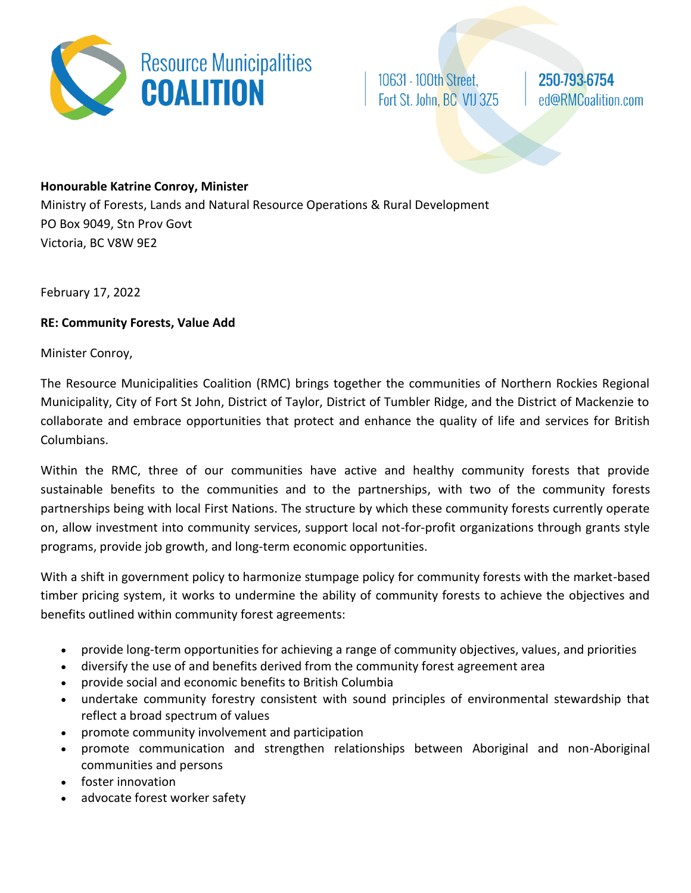

10631 - 100th Street, Fort St. John, BC V1J 3Z5 250-793-6754 ed@RMCoalition.com

## **Honourable Katrine Conroy, Minister**

Ministry of Forests, Lands and Natural Resource Operations & Rural Development PO Box 9049, Stn Prov Govt Victoria, BC V8W 9E2

February 17, 2022

## **RE: Community Forests, Value Add**

Minister Conroy,

The Resource Municipalities Coalition (RMC) brings together the communities of Northern Rockies Regional Municipality, City of Fort St John, District of Taylor, District of Tumbler Ridge, and the District of Mackenzie to collaborate and embrace opportunities that protect and enhance the quality of life and services for British Columbians.

Within the RMC, three of our communities have active and healthy community forests that provide sustainable benefits to the communities and to the partnerships, with two of the community forests partnerships being with local First Nations. The structure by which these community forests currently operate on, allow investment into community services, support local not-for-profit organizations through grants style programs, provide job growth, and long-term economic opportunities.

With a shift in government policy to harmonize stumpage policy for community forests with the market-based timber pricing system, it works to undermine the ability of community forests to achieve the objectives and benefits outlined within community forest agreements:

- provide long-term opportunities for achieving a range of community objectives, values, and priorities
- diversify the use of and benefits derived from the community forest agreement area
- provide social and economic benefits to British Columbia
- undertake community forestry consistent with sound principles of environmental stewardship that reflect a broad spectrum of values
- promote community involvement and participation
- promote communication and strengthen relationships between Aboriginal and non-Aboriginal communities and persons
- foster innovation
- advocate forest worker safety